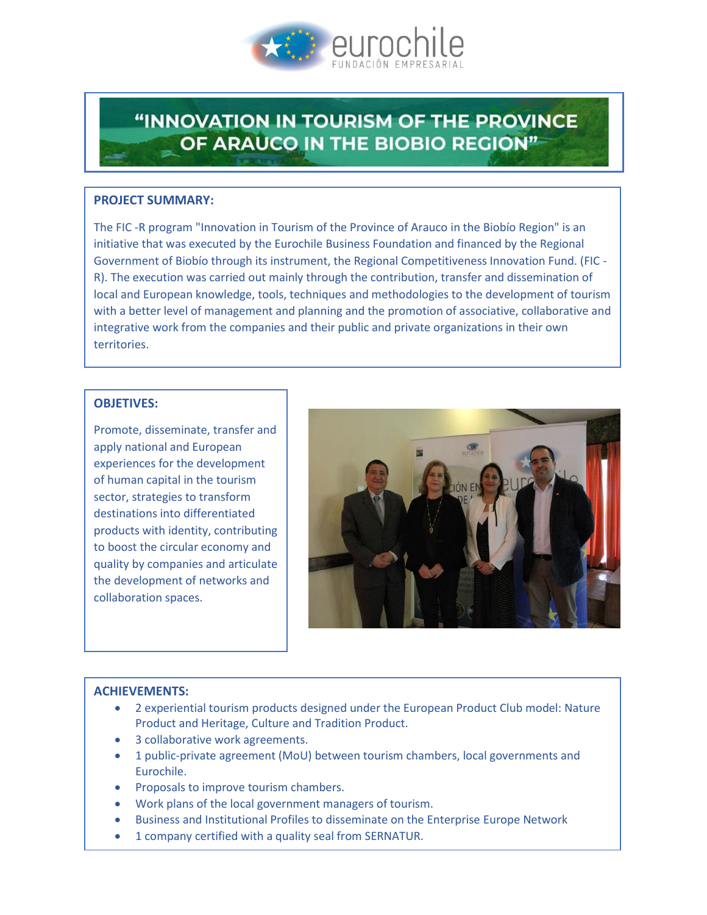

# "INNOVATION IN TOURISM OF THE PROVINCE OF ARAUCO IN THE BIOBIO REGION"

#### **PROJECT SUMMARY:**

The FIC -R program "Innovation in Tourism of the Province of Arauco in the Biobío Region" is an initiative that was executed by the Eurochile Business Foundation and financed by the Regional Government of Biobío through its instrument, the Regional Competitiveness Innovation Fund. (FIC - R). The execution was carried out mainly through the contribution, transfer and dissemination of local and European knowledge, tools, techniques and methodologies to the development of tourism with a better level of management and planning and the promotion of associative, collaborative and integrative work from the companies and their public and private organizations in their own territories.

#### **OBJETIVES:**

Promote, disseminate, transfer and apply national and European experiences for the development of human capital in the tourism sector, strategies to transform destinations into differentiated products with identity, contributing to boost the circular economy and quality by companies and articulate the development of networks and collaboration spaces.



#### **ACHIEVEMENTS:**

- 2 experiential tourism products designed under the European Product Club model: Nature Product and Heritage, Culture and Tradition Product.
- 3 collaborative work agreements.
- 1 public-private agreement (MoU) between tourism chambers, local governments and Eurochile.
- Proposals to improve tourism chambers.
- Work plans of the local government managers of tourism.
- **Business and Institutional Profiles to disseminate on the Enterprise Europe Network**
- 1 company certified with a quality seal from SERNATUR.